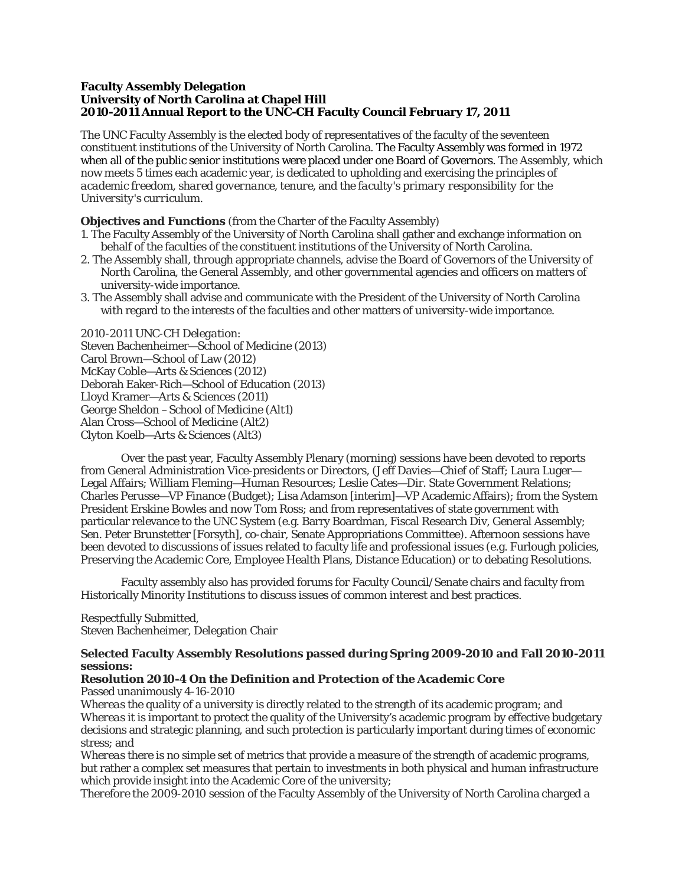#### **Faculty Assembly Delegation University of North Carolina at Chapel Hill 2010-2011 Annual Report to the UNC-CH Faculty Council February 17, 2011**

The UNC Faculty Assembly is the elected body of representatives of the faculty of the seventeen constituent institutions of the University of North Carolina. The Faculty Assembly was formed in 1972 when all of the public senior institutions were placed under one Board of Governors. The Assembly, which now meets 5 times each academic year, is dedicated to upholding and exercising the principles of *academic freedom*, *shared governance*, *tenure*, and *the faculty's primary responsibility for the University's curriculum*.

### **Objectives and Functions** (from the Charter of the Faculty Assembly)

- 1. The Faculty Assembly of the University of North Carolina shall gather and exchange information on behalf of the faculties of the constituent institutions of the University of North Carolina.
- 2. The Assembly shall, through appropriate channels, advise the Board of Governors of the University of North Carolina, the General Assembly, and other governmental agencies and officers on matters of university-wide importance.
- 3. The Assembly shall advise and communicate with the President of the University of North Carolina with regard to the interests of the faculties and other matters of university-wide importance.

*2010-2011 UNC-CH Delegation:*  Steven Bachenheimer—School of Medicine (2013) Carol Brown—School of Law (2012) McKay Coble—Arts & Sciences (2012) Deborah Eaker-Rich—School of Education (2013) Lloyd Kramer—Arts & Sciences (2011) George Sheldon –School of Medicine (Alt1) Alan Cross—School of Medicine (Alt2) Clyton Koelb—Arts & Sciences (Alt3)

Over the past year, Faculty Assembly Plenary (morning) sessions have been devoted to reports from General Administration Vice-presidents or Directors, (Jeff Davies—Chief of Staff; Laura Luger— Legal Affairs; William Fleming—Human Resources; Leslie Cates—Dir. State Government Relations; Charles Perusse—VP Finance (Budget); Lisa Adamson [interim]—VP Academic Affairs); from the System President Erskine Bowles and now Tom Ross; and from representatives of state government with particular relevance to the UNC System (e.g. Barry Boardman, Fiscal Research Div, General Assembly; Sen. Peter Brunstetter [Forsyth], co-chair, Senate Appropriations Committee). Afternoon sessions have been devoted to discussions of issues related to faculty life and professional issues (e.g. Furlough policies, Preserving the Academic Core, Employee Health Plans, Distance Education) or to debating Resolutions.

Faculty assembly also has provided forums for Faculty Council/Senate chairs and faculty from Historically Minority Institutions to discuss issues of common interest and best practices.

#### Respectfully Submitted, Steven Bachenheimer, Delegation Chair

#### **Selected Faculty Assembly Resolutions passed during Spring 2009-2010 and Fall 2010-2011 sessions:**

#### *Resolution 2010-4 On the Definition and Protection of the Academic Core* Passed unanimously 4-16-2010

*Whereas* the quality of a university is directly related to the strength of its academic program; and *Whereas* it is important to protect the quality of the University's academic program by effective budgetary decisions and strategic planning, and such protection is particularly important during times of economic stress; and

*Whereas* there is no simple set of metrics that provide a measure of the strength of academic programs, but rather a complex set measures that pertain to investments in both physical and human infrastructure which provide insight into the Academic Core of the university;

*Therefore* the 2009-2010 session of the Faculty Assembly of the University of North Carolina charged a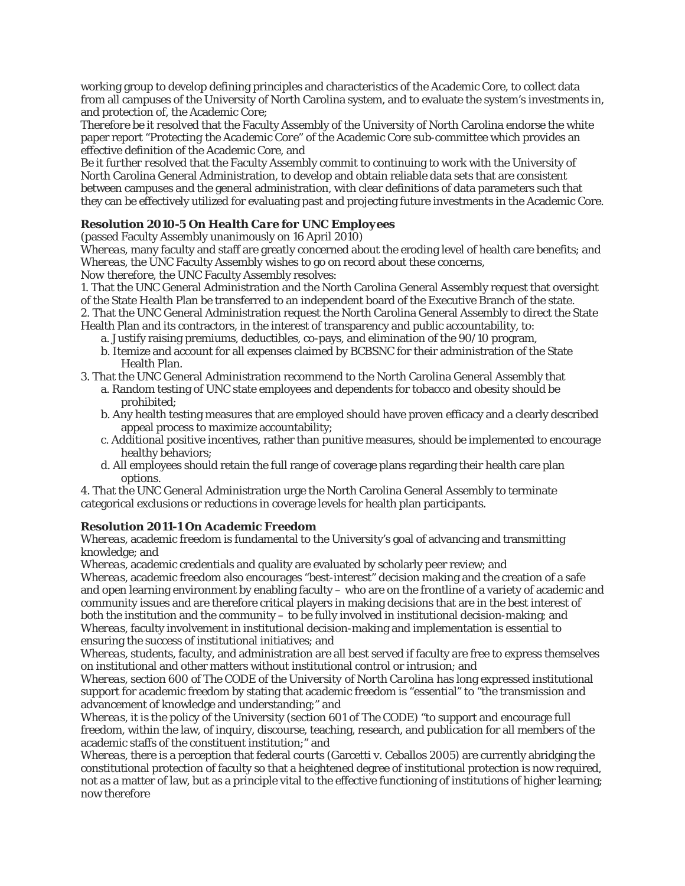working group to develop defining principles and characteristics of the Academic Core, to collect data from all campuses of the University of North Carolina system, and to evaluate the system's investments in, and protection of, the Academic Core;

*Therefore be it resolved* that the Faculty Assembly of the University of North Carolina endorse the white paper report "*Protecting the Academic Core*" of the Academic Core sub-committee which provides an effective definition of the Academic Core, and

*Be it further resolved* that the Faculty Assembly commit to continuing to work with the University of North Carolina General Administration, to develop and obtain reliable data sets that are consistent between campuses and the general administration, with clear definitions of data parameters such that they can be effectively utilized for evaluating past and projecting future investments in the Academic Core.

# *Resolution 2010-5 On Health Care for UNC Employees*

(passed Faculty Assembly unanimously on 16 April 2010)

*Whereas*, many faculty and staff are greatly concerned about the eroding level of health care benefits; and *Whereas*, the UNC Faculty Assembly wishes to go on record about these concerns,

*Now therefore*, the UNC Faculty Assembly resolves:

1. That the UNC General Administration and the North Carolina General Assembly request that oversight of the State Health Plan be transferred to an independent board of the Executive Branch of the state. 2. That the UNC General Administration request the North Carolina General Assembly to direct the State

Health Plan and its contractors, in the interest of transparency and public accountability, to:

- a. Justify raising premiums, deductibles, co-pays, and elimination of the 90/10 program,
- b. Itemize and account for all expenses claimed by BCBSNC for their administration of the State Health Plan.

3. That the UNC General Administration recommend to the North Carolina General Assembly that

- a. Random testing of UNC state employees and dependents for tobacco and obesity should be prohibited;
- b. Any health testing measures that are employed should have proven efficacy and a clearly described appeal process to maximize accountability;
- c. Additional positive incentives, rather than punitive measures, should be implemented to encourage healthy behaviors;
- d. All employees should retain the full range of coverage plans regarding their health care plan options.

4. That the UNC General Administration urge the North Carolina General Assembly to terminate categorical exclusions or reductions in coverage levels for health plan participants.

## *Resolution 2011-1 On Academic Freedom*

*Whereas,* academic freedom is fundamental to the University's goal of advancing and transmitting knowledge; and

*Whereas,* academic credentials and quality are evaluated by scholarly peer review; and

*Whereas,* academic freedom also encourages "best-interest" decision making and the creation of a safe and open learning environment by enabling faculty – who are on the frontline of a variety of academic and community issues and are therefore critical players in making decisions that are in the best interest of both the institution and the community – to be fully involved in institutional decision-making; and *Whereas,* faculty involvement in institutional decision-making and implementation is essential to ensuring the success of institutional initiatives; and

*Whereas,* students, faculty, and administration are all best served if faculty are free to express themselves on institutional and other matters without institutional control or intrusion; and

*Whereas,* section 600 of *The CODE of the University of North Carolina* has long expressed institutional support for academic freedom by stating that academic freedom is "essential" to "the transmission and advancement of knowledge and understanding;" and

*Whereas,* it is the policy of the University (section 601 of *The CODE*) "to support and encourage full freedom, within the law, of inquiry, discourse, teaching, research, and publication for all members of the academic staffs of the constituent institution;" and

*Whereas,* there is a perception that federal courts (Garcetti v. Ceballos 2005) are currently abridging the constitutional protection of faculty so that a heightened degree of institutional protection is now required, not as a matter of law, but as a principle vital to the effective functioning of institutions of higher learning; now therefore